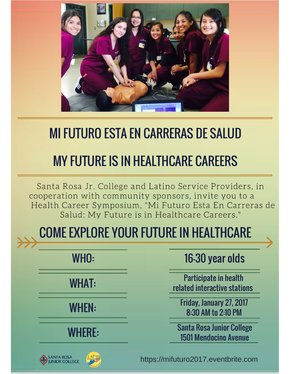

#### MI FUTURO ESTA EN CARRERAS DE SALUD

### MY FUTURE IS IN HEALTHCARE CAREERS

Santa Rosa Jr. College and Latino Service Providers, in cooperation with community sponsors, invite you to a Health Career Symposium, "Mi Futuro Esta En Carreras de Salud: My Future is in Healthcare Careers."

## COME EXPLORE YOUR FUTURE IN HEALTHCARE

|  | WHO: |  |
|--|------|--|
|  |      |  |

WHAT:

WHEN:

#### WHERE:

16-30 year olds

Participate in health related interactive stations

Friday, January 27, 2017 8:30 AM to 2:10 PM

Santa Rosa Junior College 1501 Mendocino Avenue





https://mifuturo2017.eventbrite.com